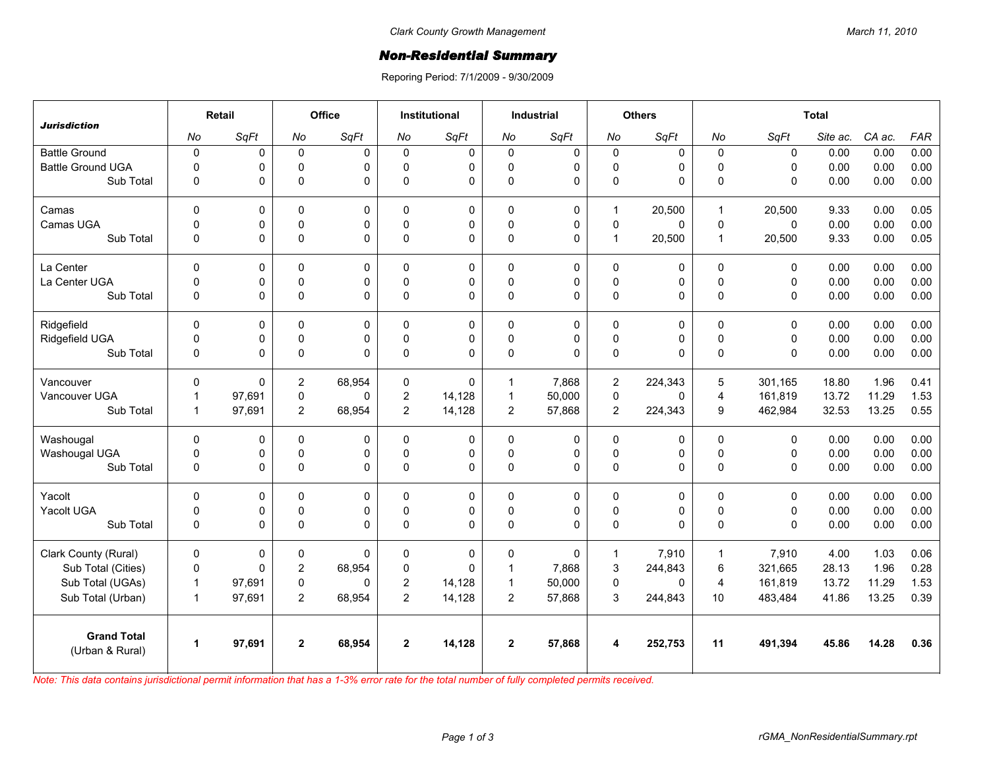## *Non-Residential Summary*

Reporing Period: 7/1/2009 - 9/30/2009

| <b>Jurisdiction</b>                   | Retail       |             | Office         |          | <b>Institutional</b> |             | <b>Industrial</b> |             | <b>Others</b>  |             | <b>Total</b>   |              |          |        |            |
|---------------------------------------|--------------|-------------|----------------|----------|----------------------|-------------|-------------------|-------------|----------------|-------------|----------------|--------------|----------|--------|------------|
|                                       | No           | SqFt        | No             | SqFt     | No                   | SqFt        | No                | SqFt        | No             | SqFt        | No             | SqFt         | Site ac. | CA ac. | <b>FAR</b> |
| <b>Battle Ground</b>                  | $\mathbf 0$  | 0           | $\mathsf 0$    | 0        | $\mathbf 0$          | $\mathbf 0$ | $\mathbf 0$       | 0           | 0              | $\mathbf 0$ | $\mathbf 0$    | $\mathbf 0$  | 0.00     | 0.00   | 0.00       |
| <b>Battle Ground UGA</b>              | $\pmb{0}$    | 0           | $\mathsf 0$    | 0        | $\Omega$             | 0           | 0                 | $\mathbf 0$ | $\mathsf 0$    | 0           | $\pmb{0}$      | $\Omega$     | 0.00     | 0.00   | 0.00       |
| Sub Total                             | $\mathbf 0$  | 0           | $\mathbf 0$    | 0        | $\Omega$             | 0           | $\mathbf 0$       | 0           | 0              | 0           | $\mathbf 0$    | $\mathbf{0}$ | 0.00     | 0.00   | 0.00       |
| Camas                                 | $\mathbf 0$  | 0           | $\mathbf 0$    | 0        | $\Omega$             | 0           | $\mathbf{0}$      | 0           | $\mathbf{1}$   | 20,500      | $\mathbf{1}$   | 20,500       | 9.33     | 0.00   | 0.05       |
| Camas UGA                             | $\mathsf 0$  | 0           | $\pmb{0}$      | 0        | $\mathbf{0}$         | 0           | $\pmb{0}$         | $\pmb{0}$   | $\mathsf 0$    | $\mathbf 0$ | $\pmb{0}$      | $\mathbf 0$  | 0.00     | 0.00   | 0.00       |
| Sub Total                             | $\pmb{0}$    | 0           | $\mathsf 0$    | 0        | $\Omega$             | 0           | $\mathbf 0$       | 0           | $\mathbf{1}$   | 20,500      | $\mathbf{1}$   | 20,500       | 9.33     | 0.00   | 0.05       |
| La Center                             | $\Omega$     | $\mathbf 0$ | $\mathbf{0}$   | 0        | $\Omega$             | 0           | $\mathbf{0}$      | 0           | 0              | $\mathbf 0$ | $\mathbf{0}$   | $\mathbf{0}$ | 0.00     | 0.00   | 0.00       |
| La Center UGA                         | $\mathbf 0$  | 0           | $\mathbf 0$    | 0        | $\Omega$             | 0           | 0                 | 0           | 0              | 0           | $\mathbf 0$    | $\mathbf 0$  | 0.00     | 0.00   | 0.00       |
| Sub Total                             | $\Omega$     | 0           | $\mathbf{0}$   | $\Omega$ | $\Omega$             | 0           | $\mathbf{0}$      | 0           | $\mathsf 0$    | $\Omega$    | $\mathbf{0}$   | $\mathbf{0}$ | 0.00     | 0.00   | 0.00       |
| Ridgefield                            | $\pmb{0}$    | 0           | $\mathbf 0$    | 0        | $\Omega$             | 0           | $\mathbf 0$       | 0           | 0              | 0           | $\mathbf 0$    | $\mathbf 0$  | 0.00     | 0.00   | 0.00       |
| Ridgefield UGA                        | $\pmb{0}$    | 0           | $\pmb{0}$      | 0        | $\Omega$             | 0           | $\pmb{0}$         | 0           | $\mathsf 0$    | 0           | $\pmb{0}$      | $\mathbf 0$  | 0.00     | 0.00   | 0.00       |
| Sub Total                             | $\pmb{0}$    | 0           | $\mathsf 0$    | 0        | $\Omega$             | 0           | $\mathbf 0$       | 0           | $\mathsf 0$    | 0           | $\pmb{0}$      | $\Omega$     | 0.00     | 0.00   | 0.00       |
| Vancouver                             | $\mathbf 0$  | $\mathbf 0$ | 2              | 68,954   | $\Omega$             | $\Omega$    | $\mathbf{1}$      | 7.868       | $\overline{2}$ | 224,343     | 5              | 301.165      | 18.80    | 1.96   | 0.41       |
| Vancouver UGA                         | $\mathbf{1}$ | 97,691      | $\pmb{0}$      | 0        | $\overline{2}$       | 14,128      | $\mathbf{1}$      | 50,000      | $\mathsf 0$    | 0           | $\overline{4}$ | 161,819      | 13.72    | 11.29  | 1.53       |
| Sub Total                             | $\mathbf{1}$ | 97,691      | $\overline{2}$ | 68,954   | $\overline{2}$       | 14,128      | $\overline{2}$    | 57,868      | $\overline{2}$ | 224,343     | 9              | 462,984      | 32.53    | 13.25  | 0.55       |
| Washougal                             | $\Omega$     | 0           | $\mathbf 0$    | $\Omega$ | $\Omega$             | 0           | $\mathbf{0}$      | 0           | 0              | 0           | $\mathbf 0$    | $\mathbf{0}$ | 0.00     | 0.00   | 0.00       |
| Washougal UGA                         | $\pmb{0}$    | 0           | $\pmb{0}$      | 0        | $\mathbf 0$          | 0           | $\mathbf 0$       | $\pmb{0}$   | $\mathsf 0$    | 0           | $\pmb{0}$      | $\mathbf 0$  | 0.00     | 0.00   | 0.00       |
| Sub Total                             | $\pmb{0}$    | 0           | $\mathsf 0$    | 0        | $\mathbf{0}$         | 0           | $\mathbf{0}$      | 0           | 0              | 0           | $\mathbf 0$    | $\mathsf 0$  | 0.00     | 0.00   | 0.00       |
| Yacolt                                | $\mathbf 0$  | 0           | $\mathbf 0$    | 0        | $\mathbf 0$          | 0           | $\mathbf 0$       | 0           | 0              | 0           | $\mathbf 0$    | $\mathbf 0$  | 0.00     | 0.00   | 0.00       |
| Yacolt UGA                            | $\mathbf 0$  | 0           | $\mathbf 0$    | 0        | $\Omega$             | 0           | $\mathbf 0$       | $\mathbf 0$ | 0              | 0           | $\mathbf 0$    | $\mathbf 0$  | 0.00     | 0.00   | 0.00       |
| Sub Total                             | $\pmb{0}$    | 0           | $\mathsf 0$    | 0        | $\Omega$             | 0           | $\mathbf{0}$      | 0           | $\mathsf 0$    | $\Omega$    | $\Omega$       | $\mathbf{0}$ | 0.00     | 0.00   | 0.00       |
| Clark County (Rural)                  | $\mathbf 0$  | 0           | 0              | $\Omega$ | 0                    | 0           | $\mathbf 0$       | 0           | $\mathbf{1}$   | 7,910       | $\mathbf{1}$   | 7,910        | 4.00     | 1.03   | 0.06       |
| Sub Total (Cities)                    | $\pmb{0}$    | $\Omega$    | $\overline{2}$ | 68,954   | $\Omega$             | $\Omega$    | $\mathbf{1}$      | 7,868       | 3              | 244,843     | 6              | 321,665      | 28.13    | 1.96   | 0.28       |
| Sub Total (UGAs)                      | $\mathbf{1}$ | 97,691      | $\pmb{0}$      | $\Omega$ | 2                    | 14,128      | $\mathbf{1}$      | 50,000      | 0              | $\Omega$    | $\overline{4}$ | 161,819      | 13.72    | 11.29  | 1.53       |
| Sub Total (Urban)                     | $\mathbf{1}$ | 97,691      | $\overline{2}$ | 68,954   | $\overline{2}$       | 14,128      | $\overline{2}$    | 57,868      | 3              | 244,843     | 10             | 483,484      | 41.86    | 13.25  | 0.39       |
| <b>Grand Total</b><br>(Urban & Rural) | $\mathbf{1}$ | 97,691      | $\overline{2}$ | 68,954   | $\overline{2}$       | 14,128      | $\overline{2}$    | 57,868      | 4              | 252,753     | 11             | 491,394      | 45.86    | 14.28  | 0.36       |

*Note: This data contains jurisdictional permit information that has a 1-3% error rate for the total number of fully completed permits received.*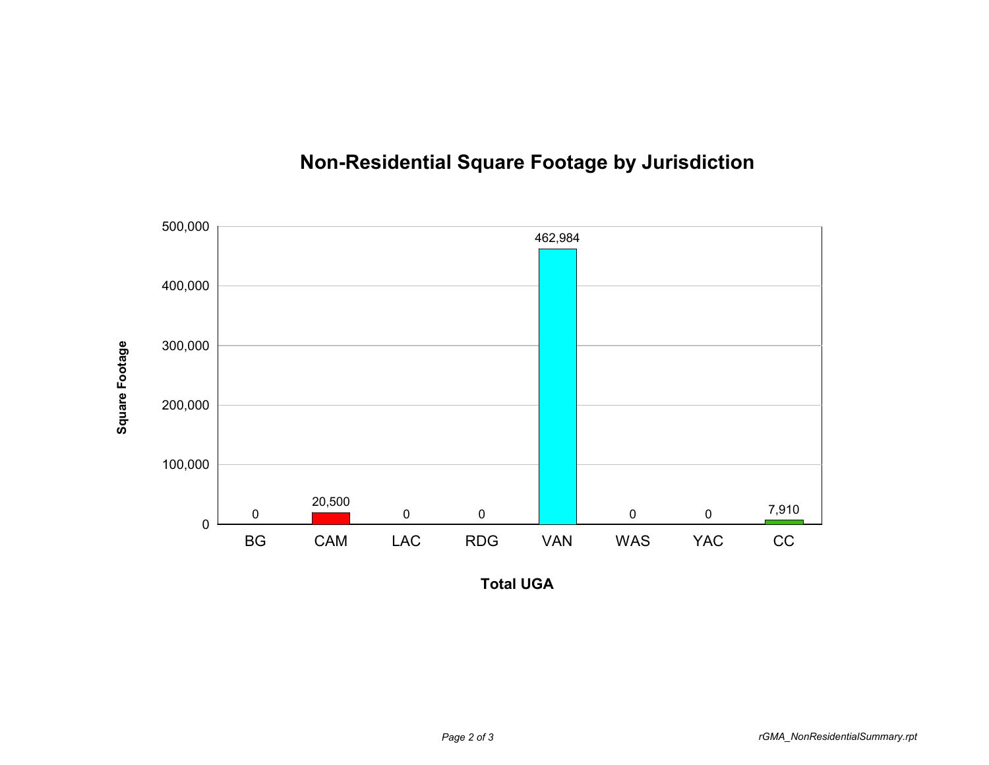

## **Non-Residential Square Footage by Jurisdiction**

**Total UGA**